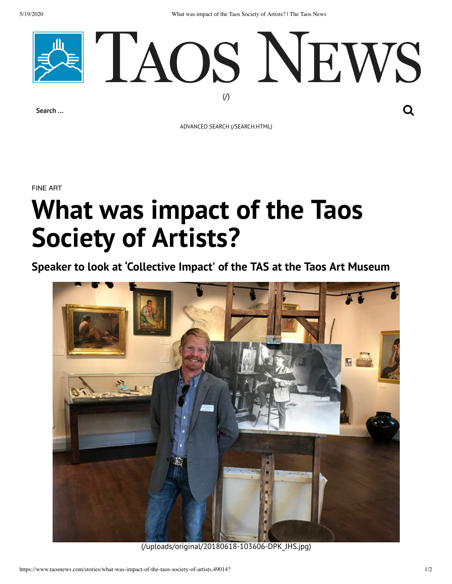5/19/2020 What was impact of the Taos Society of Artists? | The Taos News



**Search …**

ADVANCED SEARCH [\(/SEARCH.HTML\)](https://www.taosnews.com/search.html)

FINE ART

## **What was impact of the Taos Society of Artists?**

**Speaker to look at 'Collective Impact' of the TAS at the Taos Art Museum**



[\(/uploads/original/20180618-103606-DPK\\_JHS.jpg\)](https://www.taosnews.com/uploads/original/20180618-103606-DPK_JHS.jpg)